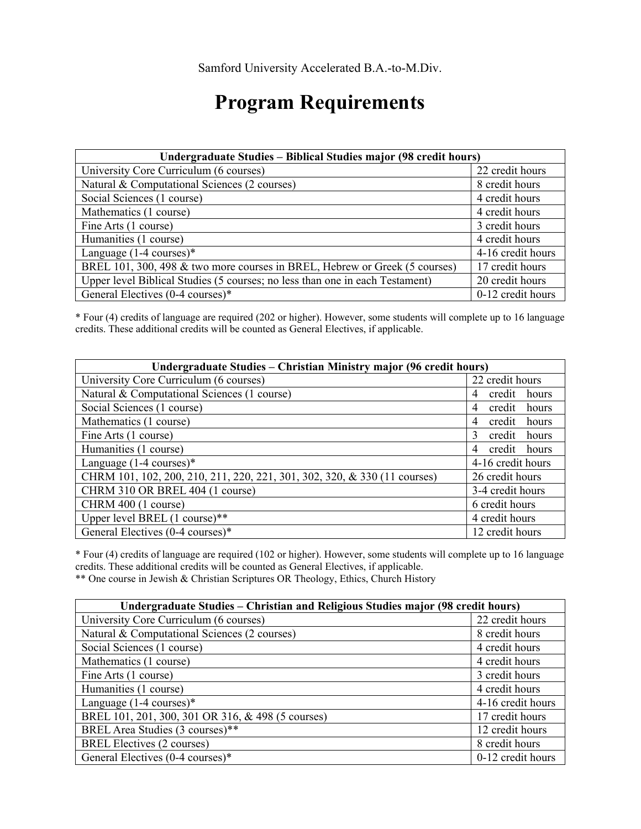## **Program Requirements**

| Undergraduate Studies – Biblical Studies major (98 credit hours)             |                   |
|------------------------------------------------------------------------------|-------------------|
| University Core Curriculum (6 courses)                                       | 22 credit hours   |
| Natural & Computational Sciences (2 courses)                                 | 8 credit hours    |
| Social Sciences (1 course)                                                   | 4 credit hours    |
| Mathematics (1 course)                                                       | 4 credit hours    |
| Fine Arts (1 course)                                                         | 3 credit hours    |
| Humanities (1 course)                                                        | 4 credit hours    |
| Language $(1-4 \text{ courses})^*$                                           | 4-16 credit hours |
| BREL 101, 300, 498 & two more courses in BREL, Hebrew or Greek (5 courses)   | 17 credit hours   |
| Upper level Biblical Studies (5 courses; no less than one in each Testament) | 20 credit hours   |
| General Electives (0-4 courses)*                                             | 0-12 credit hours |

\* Four (4) credits of language are required (202 or higher). However, some students will complete up to 16 language credits. These additional credits will be counted as General Electives, if applicable.

| Undergraduate Studies - Christian Ministry major (96 credit hours)        |                                  |
|---------------------------------------------------------------------------|----------------------------------|
| University Core Curriculum (6 courses)                                    | 22 credit hours                  |
| Natural & Computational Sciences (1 course)                               | credit<br>hours<br>4             |
| Social Sciences (1 course)                                                | credit<br>hours<br>4             |
| Mathematics (1 course)                                                    | credit<br>hours<br>4             |
| Fine Arts (1 course)                                                      | credit<br>hours<br>$\mathcal{R}$ |
| Humanities (1 course)                                                     | credit hours<br>4                |
| Language $(1-4 \text{ courses})^*$                                        | 4-16 credit hours                |
| CHRM 101, 102, 200, 210, 211, 220, 221, 301, 302, 320, & 330 (11 courses) | 26 credit hours                  |
| CHRM 310 OR BREL 404 (1 course)                                           | 3-4 credit hours                 |
| CHRM 400 (1 course)                                                       | 6 credit hours                   |
| Upper level BREL (1 course)**                                             | 4 credit hours                   |
| General Electives (0-4 courses)*                                          | 12 credit hours                  |

\* Four (4) credits of language are required (102 or higher). However, some students will complete up to 16 language credits. These additional credits will be counted as General Electives, if applicable.

\*\* One course in Jewish & Christian Scriptures OR Theology, Ethics, Church History

| Undergraduate Studies – Christian and Religious Studies major (98 credit hours) |                   |
|---------------------------------------------------------------------------------|-------------------|
| University Core Curriculum (6 courses)                                          | 22 credit hours   |
| Natural & Computational Sciences (2 courses)                                    | 8 credit hours    |
| Social Sciences (1 course)                                                      | 4 credit hours    |
| Mathematics (1 course)                                                          | 4 credit hours    |
| Fine Arts (1 course)                                                            | 3 credit hours    |
| Humanities (1 course)                                                           | 4 credit hours    |
| Language $(1-4 \text{ courses})^*$                                              | 4-16 credit hours |
| BREL 101, 201, 300, 301 OR 316, & 498 (5 courses)                               | 17 credit hours   |
| BREL Area Studies (3 courses)**                                                 | 12 credit hours   |
| BREL Electives (2 courses)                                                      | 8 credit hours    |
| General Electives (0-4 courses)*                                                | 0-12 credit hours |